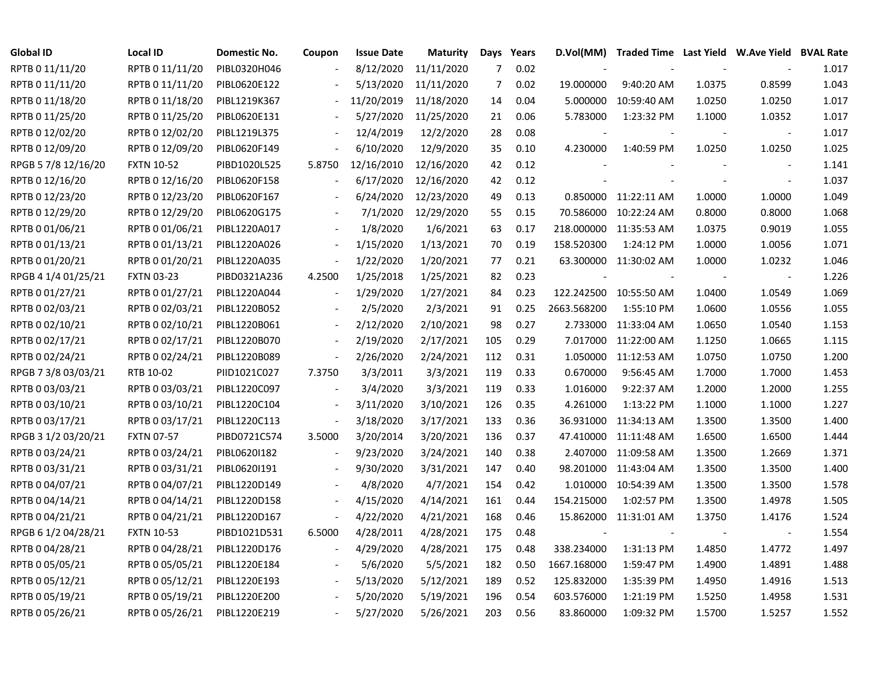| Global ID           | <b>Local ID</b>   | Domestic No. | Coupon                   | <b>Issue Date</b> | Maturity   |     | Days Years | D.Vol(MM)   | Traded Time Last Yield W.Ave Yield BVAL Rate |        |                          |       |
|---------------------|-------------------|--------------|--------------------------|-------------------|------------|-----|------------|-------------|----------------------------------------------|--------|--------------------------|-------|
| RPTB 0 11/11/20     | RPTB 0 11/11/20   | PIBL0320H046 |                          | 8/12/2020         | 11/11/2020 | 7   | 0.02       |             |                                              |        |                          | 1.017 |
| RPTB 0 11/11/20     | RPTB 0 11/11/20   | PIBL0620E122 |                          | 5/13/2020         | 11/11/2020 | 7   | 0.02       | 19.000000   | 9:40:20 AM                                   | 1.0375 | 0.8599                   | 1.043 |
| RPTB 0 11/18/20     | RPTB 0 11/18/20   | PIBL1219K367 |                          | 11/20/2019        | 11/18/2020 | 14  | 0.04       | 5.000000    | 10:59:40 AM                                  | 1.0250 | 1.0250                   | 1.017 |
| RPTB 0 11/25/20     | RPTB 0 11/25/20   | PIBL0620E131 |                          | 5/27/2020         | 11/25/2020 | 21  | 0.06       | 5.783000    | 1:23:32 PM                                   | 1.1000 | 1.0352                   | 1.017 |
| RPTB 0 12/02/20     | RPTB 0 12/02/20   | PIBL1219L375 | $\blacksquare$           | 12/4/2019         | 12/2/2020  | 28  | 0.08       |             |                                              |        | $\overline{\phantom{a}}$ | 1.017 |
| RPTB 0 12/09/20     | RPTB 0 12/09/20   | PIBL0620F149 | $\frac{1}{2}$            | 6/10/2020         | 12/9/2020  | 35  | 0.10       | 4.230000    | 1:40:59 PM                                   | 1.0250 | 1.0250                   | 1.025 |
| RPGB 5 7/8 12/16/20 | <b>FXTN 10-52</b> | PIBD1020L525 | 5.8750                   | 12/16/2010        | 12/16/2020 | 42  | 0.12       |             |                                              |        | $\overline{\phantom{a}}$ | 1.141 |
| RPTB 0 12/16/20     | RPTB 0 12/16/20   | PIBL0620F158 |                          | 6/17/2020         | 12/16/2020 | 42  | 0.12       |             |                                              |        | $\overline{\phantom{a}}$ | 1.037 |
| RPTB 0 12/23/20     | RPTB 0 12/23/20   | PIBL0620F167 |                          | 6/24/2020         | 12/23/2020 | 49  | 0.13       |             | 0.850000 11:22:11 AM                         | 1.0000 | 1.0000                   | 1.049 |
| RPTB 0 12/29/20     | RPTB 0 12/29/20   | PIBL0620G175 |                          | 7/1/2020          | 12/29/2020 | 55  | 0.15       |             | 70.586000 10:22:24 AM                        | 0.8000 | 0.8000                   | 1.068 |
| RPTB 0 01/06/21     | RPTB 0 01/06/21   | PIBL1220A017 |                          | 1/8/2020          | 1/6/2021   | 63  | 0.17       |             | 218.000000 11:35:53 AM                       | 1.0375 | 0.9019                   | 1.055 |
| RPTB 0 01/13/21     | RPTB 0 01/13/21   | PIBL1220A026 | $\blacksquare$           | 1/15/2020         | 1/13/2021  | 70  | 0.19       | 158.520300  | 1:24:12 PM                                   | 1.0000 | 1.0056                   | 1.071 |
| RPTB 0 01/20/21     | RPTB 0 01/20/21   | PIBL1220A035 | $\blacksquare$           | 1/22/2020         | 1/20/2021  | 77  | 0.21       |             | 63.300000 11:30:02 AM                        | 1.0000 | 1.0232                   | 1.046 |
| RPGB 4 1/4 01/25/21 | <b>FXTN 03-23</b> | PIBD0321A236 | 4.2500                   | 1/25/2018         | 1/25/2021  | 82  | 0.23       |             |                                              |        | $\overline{\phantom{a}}$ | 1.226 |
| RPTB 0 01/27/21     | RPTB 0 01/27/21   | PIBL1220A044 |                          | 1/29/2020         | 1/27/2021  | 84  | 0.23       |             | 122.242500 10:55:50 AM                       | 1.0400 | 1.0549                   | 1.069 |
| RPTB 0 02/03/21     | RPTB 0 02/03/21   | PIBL1220B052 |                          | 2/5/2020          | 2/3/2021   | 91  | 0.25       | 2663.568200 | 1:55:10 PM                                   | 1.0600 | 1.0556                   | 1.055 |
| RPTB 0 02/10/21     | RPTB 0 02/10/21   | PIBL1220B061 | $\overline{\phantom{a}}$ | 2/12/2020         | 2/10/2021  | 98  | 0.27       |             | 2.733000 11:33:04 AM                         | 1.0650 | 1.0540                   | 1.153 |
| RPTB 0 02/17/21     | RPTB 0 02/17/21   | PIBL1220B070 | $\overline{\phantom{a}}$ | 2/19/2020         | 2/17/2021  | 105 | 0.29       |             | 7.017000 11:22:00 AM                         | 1.1250 | 1.0665                   | 1.115 |
| RPTB 0 02/24/21     | RPTB 0 02/24/21   | PIBL1220B089 | $\blacksquare$           | 2/26/2020         | 2/24/2021  | 112 | 0.31       | 1.050000    | 11:12:53 AM                                  | 1.0750 | 1.0750                   | 1.200 |
| RPGB 7 3/8 03/03/21 | RTB 10-02         | PIID1021C027 | 7.3750                   | 3/3/2011          | 3/3/2021   | 119 | 0.33       | 0.670000    | 9:56:45 AM                                   | 1.7000 | 1.7000                   | 1.453 |
| RPTB 0 03/03/21     | RPTB 0 03/03/21   | PIBL1220C097 | $\overline{a}$           | 3/4/2020          | 3/3/2021   | 119 | 0.33       | 1.016000    | 9:22:37 AM                                   | 1.2000 | 1.2000                   | 1.255 |
| RPTB 0 03/10/21     | RPTB 0 03/10/21   | PIBL1220C104 | $\blacksquare$           | 3/11/2020         | 3/10/2021  | 126 | 0.35       | 4.261000    | 1:13:22 PM                                   | 1.1000 | 1.1000                   | 1.227 |
| RPTB 0 03/17/21     | RPTB 0 03/17/21   | PIBL1220C113 | $\overline{\phantom{a}}$ | 3/18/2020         | 3/17/2021  | 133 | 0.36       |             | 36.931000 11:34:13 AM                        | 1.3500 | 1.3500                   | 1.400 |
| RPGB 3 1/2 03/20/21 | <b>FXTN 07-57</b> | PIBD0721C574 | 3.5000                   | 3/20/2014         | 3/20/2021  | 136 | 0.37       |             | 47.410000 11:11:48 AM                        | 1.6500 | 1.6500                   | 1.444 |
| RPTB 0 03/24/21     | RPTB 0 03/24/21   | PIBL06201182 | $\blacksquare$           | 9/23/2020         | 3/24/2021  | 140 | 0.38       |             | 2.407000 11:09:58 AM                         | 1.3500 | 1.2669                   | 1.371 |
| RPTB 0 03/31/21     | RPTB 0 03/31/21   | PIBL0620I191 |                          | 9/30/2020         | 3/31/2021  | 147 | 0.40       |             | 98.201000 11:43:04 AM                        | 1.3500 | 1.3500                   | 1.400 |
| RPTB 0 04/07/21     | RPTB 0 04/07/21   | PIBL1220D149 |                          | 4/8/2020          | 4/7/2021   | 154 | 0.42       | 1.010000    | 10:54:39 AM                                  | 1.3500 | 1.3500                   | 1.578 |
| RPTB 0 04/14/21     | RPTB 0 04/14/21   | PIBL1220D158 |                          | 4/15/2020         | 4/14/2021  | 161 | 0.44       | 154.215000  | 1:02:57 PM                                   | 1.3500 | 1.4978                   | 1.505 |
| RPTB 0 04/21/21     | RPTB 0 04/21/21   | PIBL1220D167 |                          | 4/22/2020         | 4/21/2021  | 168 | 0.46       |             | 15.862000 11:31:01 AM                        | 1.3750 | 1.4176                   | 1.524 |
| RPGB 6 1/2 04/28/21 | <b>FXTN 10-53</b> | PIBD1021D531 | 6.5000                   | 4/28/2011         | 4/28/2021  | 175 | 0.48       |             |                                              |        | $\overline{\phantom{a}}$ | 1.554 |
| RPTB 0 04/28/21     | RPTB 0 04/28/21   | PIBL1220D176 | $\blacksquare$           | 4/29/2020         | 4/28/2021  | 175 | 0.48       | 338.234000  | 1:31:13 PM                                   | 1.4850 | 1.4772                   | 1.497 |
| RPTB 0 05/05/21     | RPTB 0 05/05/21   | PIBL1220E184 | $\overline{\phantom{a}}$ | 5/6/2020          | 5/5/2021   | 182 | 0.50       | 1667.168000 | 1:59:47 PM                                   | 1.4900 | 1.4891                   | 1.488 |
| RPTB 0 05/12/21     | RPTB 0 05/12/21   | PIBL1220E193 | $\blacksquare$           | 5/13/2020         | 5/12/2021  | 189 | 0.52       | 125.832000  | 1:35:39 PM                                   | 1.4950 | 1.4916                   | 1.513 |
| RPTB 0 05/19/21     | RPTB 0 05/19/21   | PIBL1220E200 |                          | 5/20/2020         | 5/19/2021  | 196 | 0.54       | 603.576000  | 1:21:19 PM                                   | 1.5250 | 1.4958                   | 1.531 |
| RPTB 0 05/26/21     | RPTB 0 05/26/21   | PIBL1220E219 |                          | 5/27/2020         | 5/26/2021  | 203 | 0.56       | 83.860000   | 1:09:32 PM                                   | 1.5700 | 1.5257                   | 1.552 |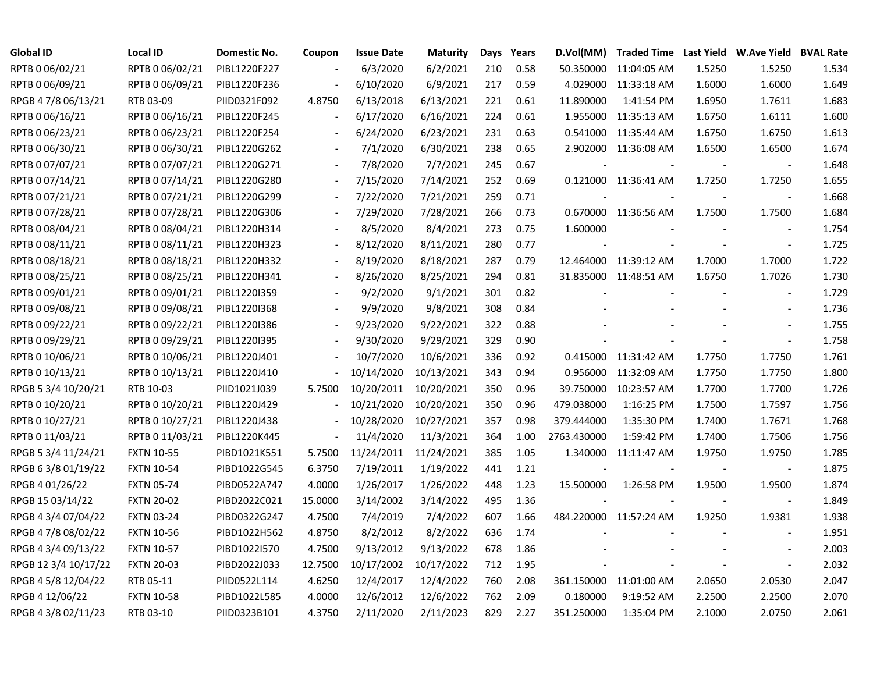| <b>Global ID</b>     | <b>Local ID</b>   | <b>Domestic No.</b> | Coupon                   | <b>Issue Date</b> | Maturity   |     | Days Years | D.Vol(MM)   |                        |                          | Traded Time Last Yield W.Ave Yield BVAL Rate |       |
|----------------------|-------------------|---------------------|--------------------------|-------------------|------------|-----|------------|-------------|------------------------|--------------------------|----------------------------------------------|-------|
| RPTB 0 06/02/21      | RPTB 0 06/02/21   | PIBL1220F227        |                          | 6/3/2020          | 6/2/2021   | 210 | 0.58       | 50.350000   | 11:04:05 AM            | 1.5250                   | 1.5250                                       | 1.534 |
| RPTB 0 06/09/21      | RPTB 0 06/09/21   | PIBL1220F236        |                          | 6/10/2020         | 6/9/2021   | 217 | 0.59       | 4.029000    | 11:33:18 AM            | 1.6000                   | 1.6000                                       | 1.649 |
| RPGB 4 7/8 06/13/21  | RTB 03-09         | PIID0321F092        | 4.8750                   | 6/13/2018         | 6/13/2021  | 221 | 0.61       | 11.890000   | 1:41:54 PM             | 1.6950                   | 1.7611                                       | 1.683 |
| RPTB 0 06/16/21      | RPTB 0 06/16/21   | PIBL1220F245        | $\overline{\phantom{a}}$ | 6/17/2020         | 6/16/2021  | 224 | 0.61       |             | 1.955000 11:35:13 AM   | 1.6750                   | 1.6111                                       | 1.600 |
| RPTB 0 06/23/21      | RPTB 0 06/23/21   | PIBL1220F254        | $\overline{\phantom{a}}$ | 6/24/2020         | 6/23/2021  | 231 | 0.63       |             | 0.541000 11:35:44 AM   | 1.6750                   | 1.6750                                       | 1.613 |
| RPTB 0 06/30/21      | RPTB 0 06/30/21   | PIBL1220G262        | $\overline{\phantom{a}}$ | 7/1/2020          | 6/30/2021  | 238 | 0.65       |             | 2.902000 11:36:08 AM   | 1.6500                   | 1.6500                                       | 1.674 |
| RPTB 0 07/07/21      | RPTB 0 07/07/21   | PIBL1220G271        | $\overline{\phantom{a}}$ | 7/8/2020          | 7/7/2021   | 245 | 0.67       |             |                        |                          |                                              | 1.648 |
| RPTB 0 07/14/21      | RPTB 0 07/14/21   | PIBL1220G280        |                          | 7/15/2020         | 7/14/2021  | 252 | 0.69       |             | 0.121000 11:36:41 AM   | 1.7250                   | 1.7250                                       | 1.655 |
| RPTB 0 07/21/21      | RPTB 0 07/21/21   | PIBL1220G299        |                          | 7/22/2020         | 7/21/2021  | 259 | 0.71       |             |                        |                          | $\blacksquare$                               | 1.668 |
| RPTB 0 07/28/21      | RPTB 0 07/28/21   | PIBL1220G306        |                          | 7/29/2020         | 7/28/2021  | 266 | 0.73       |             | 0.670000 11:36:56 AM   | 1.7500                   | 1.7500                                       | 1.684 |
| RPTB 0 08/04/21      | RPTB 0 08/04/21   | PIBL1220H314        |                          | 8/5/2020          | 8/4/2021   | 273 | 0.75       | 1.600000    |                        |                          |                                              | 1.754 |
| RPTB 0 08/11/21      | RPTB 0 08/11/21   | PIBL1220H323        |                          | 8/12/2020         | 8/11/2021  | 280 | 0.77       |             |                        | $\overline{\phantom{a}}$ | $\blacksquare$                               | 1.725 |
| RPTB 0 08/18/21      | RPTB 0 08/18/21   | PIBL1220H332        |                          | 8/19/2020         | 8/18/2021  | 287 | 0.79       |             | 12.464000 11:39:12 AM  | 1.7000                   | 1.7000                                       | 1.722 |
| RPTB 0 08/25/21      | RPTB 0 08/25/21   | PIBL1220H341        |                          | 8/26/2020         | 8/25/2021  | 294 | 0.81       |             | 31.835000 11:48:51 AM  | 1.6750                   | 1.7026                                       | 1.730 |
| RPTB 0 09/01/21      | RPTB 0 09/01/21   | PIBL1220I359        |                          | 9/2/2020          | 9/1/2021   | 301 | 0.82       |             |                        |                          |                                              | 1.729 |
| RPTB 0 09/08/21      | RPTB 0 09/08/21   | PIBL12201368        |                          | 9/9/2020          | 9/8/2021   | 308 | 0.84       |             |                        |                          |                                              | 1.736 |
| RPTB 0 09/22/21      | RPTB 0 09/22/21   | PIBL1220I386        | $\overline{\phantom{a}}$ | 9/23/2020         | 9/22/2021  | 322 | 0.88       |             |                        |                          |                                              | 1.755 |
| RPTB 0 09/29/21      | RPTB 0 09/29/21   | PIBL1220I395        | $\overline{\phantom{a}}$ | 9/30/2020         | 9/29/2021  | 329 | 0.90       |             |                        |                          |                                              | 1.758 |
| RPTB 0 10/06/21      | RPTB 0 10/06/21   | PIBL1220J401        | $\blacksquare$           | 10/7/2020         | 10/6/2021  | 336 | 0.92       |             | 0.415000 11:31:42 AM   | 1.7750                   | 1.7750                                       | 1.761 |
| RPTB 0 10/13/21      | RPTB 0 10/13/21   | PIBL1220J410        | $\overline{\phantom{a}}$ | 10/14/2020        | 10/13/2021 | 343 | 0.94       |             | 0.956000 11:32:09 AM   | 1.7750                   | 1.7750                                       | 1.800 |
| RPGB 5 3/4 10/20/21  | RTB 10-03         | PIID1021J039        | 5.7500                   | 10/20/2011        | 10/20/2021 | 350 | 0.96       | 39.750000   | 10:23:57 AM            | 1.7700                   | 1.7700                                       | 1.726 |
| RPTB 0 10/20/21      | RPTB 0 10/20/21   | PIBL1220J429        |                          | 10/21/2020        | 10/20/2021 | 350 | 0.96       | 479.038000  | 1:16:25 PM             | 1.7500                   | 1.7597                                       | 1.756 |
| RPTB 0 10/27/21      | RPTB 0 10/27/21   | PIBL1220J438        |                          | 10/28/2020        | 10/27/2021 | 357 | 0.98       | 379.444000  | 1:35:30 PM             | 1.7400                   | 1.7671                                       | 1.768 |
| RPTB 0 11/03/21      | RPTB 0 11/03/21   | PIBL1220K445        | $\overline{\phantom{a}}$ | 11/4/2020         | 11/3/2021  | 364 | 1.00       | 2763.430000 | 1:59:42 PM             | 1.7400                   | 1.7506                                       | 1.756 |
| RPGB 5 3/4 11/24/21  | <b>FXTN 10-55</b> | PIBD1021K551        | 5.7500                   | 11/24/2011        | 11/24/2021 | 385 | 1.05       |             | 1.340000 11:11:47 AM   | 1.9750                   | 1.9750                                       | 1.785 |
| RPGB 6 3/8 01/19/22  | <b>FXTN 10-54</b> | PIBD1022G545        | 6.3750                   | 7/19/2011         | 1/19/2022  | 441 | 1.21       | $\sim$      |                        |                          | $\overline{\phantom{a}}$                     | 1.875 |
| RPGB 4 01/26/22      | <b>FXTN 05-74</b> | PIBD0522A747        | 4.0000                   | 1/26/2017         | 1/26/2022  | 448 | 1.23       | 15.500000   | 1:26:58 PM             | 1.9500                   | 1.9500                                       | 1.874 |
| RPGB 15 03/14/22     | <b>FXTN 20-02</b> | PIBD2022C021        | 15.0000                  | 3/14/2002         | 3/14/2022  | 495 | 1.36       |             |                        |                          |                                              | 1.849 |
| RPGB 4 3/4 07/04/22  | <b>FXTN 03-24</b> | PIBD0322G247        | 4.7500                   | 7/4/2019          | 7/4/2022   | 607 | 1.66       |             | 484.220000 11:57:24 AM | 1.9250                   | 1.9381                                       | 1.938 |
| RPGB 4 7/8 08/02/22  | <b>FXTN 10-56</b> | PIBD1022H562        | 4.8750                   | 8/2/2012          | 8/2/2022   | 636 | 1.74       |             |                        |                          |                                              | 1.951 |
| RPGB 4 3/4 09/13/22  | <b>FXTN 10-57</b> | PIBD1022I570        | 4.7500                   | 9/13/2012         | 9/13/2022  | 678 | 1.86       |             |                        |                          | $\blacksquare$                               | 2.003 |
| RPGB 12 3/4 10/17/22 | <b>FXTN 20-03</b> | PIBD2022J033        | 12.7500                  | 10/17/2002        | 10/17/2022 | 712 | 1.95       |             |                        |                          | $\overline{\phantom{a}}$                     | 2.032 |
| RPGB 4 5/8 12/04/22  | RTB 05-11         | PIID0522L114        | 4.6250                   | 12/4/2017         | 12/4/2022  | 760 | 2.08       |             | 361.150000 11:01:00 AM | 2.0650                   | 2.0530                                       | 2.047 |
| RPGB 4 12/06/22      | <b>FXTN 10-58</b> | PIBD1022L585        | 4.0000                   | 12/6/2012         | 12/6/2022  | 762 | 2.09       | 0.180000    | 9:19:52 AM             | 2.2500                   | 2.2500                                       | 2.070 |
| RPGB 4 3/8 02/11/23  | RTB 03-10         | PIID0323B101        | 4.3750                   | 2/11/2020         | 2/11/2023  | 829 | 2.27       | 351.250000  | 1:35:04 PM             | 2.1000                   | 2.0750                                       | 2.061 |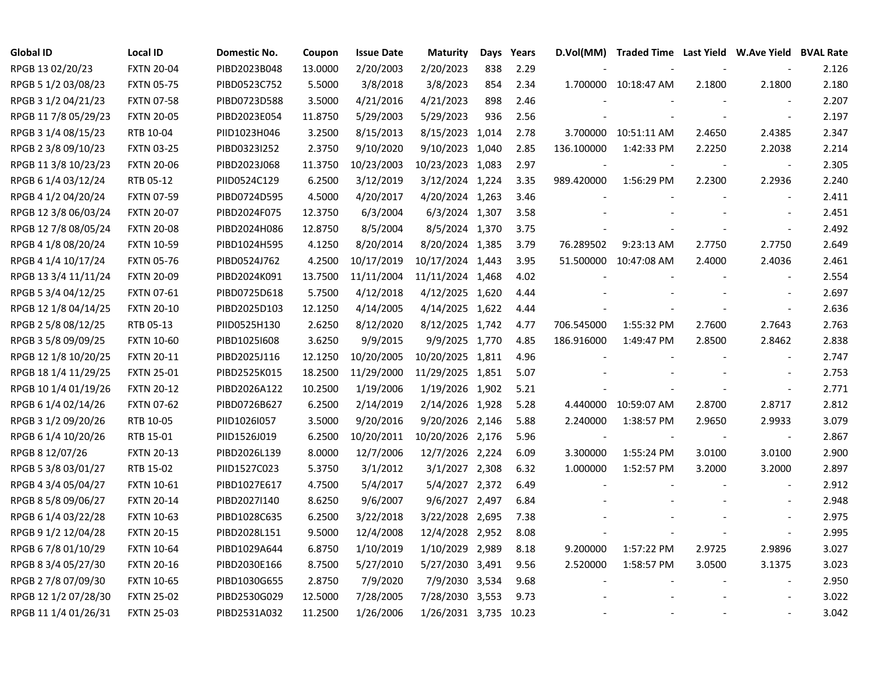| <b>Global ID</b>     | <b>Local ID</b>   | Domestic No. | Coupon  | <b>Issue Date</b> | <b>Maturity</b>       | Days | Years |                          | D.Vol(MM) Traded Time Last Yield W.Ave Yield BVAL Rate |        |                          |       |
|----------------------|-------------------|--------------|---------|-------------------|-----------------------|------|-------|--------------------------|--------------------------------------------------------|--------|--------------------------|-------|
| RPGB 13 02/20/23     | <b>FXTN 20-04</b> | PIBD2023B048 | 13.0000 | 2/20/2003         | 2/20/2023             | 838  | 2.29  |                          |                                                        |        |                          | 2.126 |
| RPGB 5 1/2 03/08/23  | <b>FXTN 05-75</b> | PIBD0523C752 | 5.5000  | 3/8/2018          | 3/8/2023              | 854  | 2.34  |                          | 1.700000 10:18:47 AM                                   | 2.1800 | 2.1800                   | 2.180 |
| RPGB 3 1/2 04/21/23  | <b>FXTN 07-58</b> | PIBD0723D588 | 3.5000  | 4/21/2016         | 4/21/2023             | 898  | 2.46  |                          |                                                        |        |                          | 2.207 |
| RPGB 11 7/8 05/29/23 | <b>FXTN 20-05</b> | PIBD2023E054 | 11.8750 | 5/29/2003         | 5/29/2023             | 936  | 2.56  |                          |                                                        |        |                          | 2.197 |
| RPGB 3 1/4 08/15/23  | RTB 10-04         | PIID1023H046 | 3.2500  | 8/15/2013         | 8/15/2023 1,014       |      | 2.78  |                          | 3.700000 10:51:11 AM                                   | 2.4650 | 2.4385                   | 2.347 |
| RPGB 2 3/8 09/10/23  | <b>FXTN 03-25</b> | PIBD0323I252 | 2.3750  | 9/10/2020         | 9/10/2023 1,040       |      | 2.85  | 136.100000               | 1:42:33 PM                                             | 2.2250 | 2.2038                   | 2.214 |
| RPGB 11 3/8 10/23/23 | <b>FXTN 20-06</b> | PIBD2023J068 | 11.3750 | 10/23/2003        | 10/23/2023 1,083      |      | 2.97  |                          |                                                        |        | $\overline{\phantom{a}}$ | 2.305 |
| RPGB 6 1/4 03/12/24  | RTB 05-12         | PIID0524C129 | 6.2500  | 3/12/2019         | 3/12/2024 1,224       |      | 3.35  | 989.420000               | 1:56:29 PM                                             | 2.2300 | 2.2936                   | 2.240 |
| RPGB 4 1/2 04/20/24  | <b>FXTN 07-59</b> | PIBD0724D595 | 4.5000  | 4/20/2017         | 4/20/2024 1,263       |      | 3.46  |                          |                                                        |        | $\overline{\phantom{a}}$ | 2.411 |
| RPGB 12 3/8 06/03/24 | <b>FXTN 20-07</b> | PIBD2024F075 | 12.3750 | 6/3/2004          | 6/3/2024 1,307        |      | 3.58  |                          |                                                        |        |                          | 2.451 |
| RPGB 12 7/8 08/05/24 | <b>FXTN 20-08</b> | PIBD2024H086 | 12.8750 | 8/5/2004          | 8/5/2024 1,370        |      | 3.75  |                          |                                                        |        | $\overline{\phantom{a}}$ | 2.492 |
| RPGB 4 1/8 08/20/24  | <b>FXTN 10-59</b> | PIBD1024H595 | 4.1250  | 8/20/2014         | 8/20/2024 1,385       |      | 3.79  | 76.289502                | 9:23:13 AM                                             | 2.7750 | 2.7750                   | 2.649 |
| RPGB 4 1/4 10/17/24  | <b>FXTN 05-76</b> | PIBD0524J762 | 4.2500  | 10/17/2019        | 10/17/2024 1,443      |      | 3.95  |                          | 51.500000 10:47:08 AM                                  | 2.4000 | 2.4036                   | 2.461 |
| RPGB 13 3/4 11/11/24 | <b>FXTN 20-09</b> | PIBD2024K091 | 13.7500 | 11/11/2004        | 11/11/2024 1,468      |      | 4.02  |                          |                                                        |        |                          | 2.554 |
| RPGB 5 3/4 04/12/25  | <b>FXTN 07-61</b> | PIBD0725D618 | 5.7500  | 4/12/2018         | 4/12/2025 1,620       |      | 4.44  |                          |                                                        |        |                          | 2.697 |
| RPGB 12 1/8 04/14/25 | <b>FXTN 20-10</b> | PIBD2025D103 | 12.1250 | 4/14/2005         | 4/14/2025 1,622       |      | 4.44  |                          |                                                        |        |                          | 2.636 |
| RPGB 2 5/8 08/12/25  | RTB 05-13         | PIID0525H130 | 2.6250  | 8/12/2020         | 8/12/2025 1,742       |      | 4.77  | 706.545000               | 1:55:32 PM                                             | 2.7600 | 2.7643                   | 2.763 |
| RPGB 3 5/8 09/09/25  | <b>FXTN 10-60</b> | PIBD1025I608 | 3.6250  | 9/9/2015          | 9/9/2025 1,770        |      | 4.85  | 186.916000               | 1:49:47 PM                                             | 2.8500 | 2.8462                   | 2.838 |
| RPGB 12 1/8 10/20/25 | <b>FXTN 20-11</b> | PIBD2025J116 | 12.1250 | 10/20/2005        | 10/20/2025 1,811      |      | 4.96  |                          |                                                        |        | $\blacksquare$           | 2.747 |
| RPGB 18 1/4 11/29/25 | <b>FXTN 25-01</b> | PIBD2525K015 | 18.2500 | 11/29/2000        | 11/29/2025 1,851      |      | 5.07  |                          |                                                        |        |                          | 2.753 |
| RPGB 10 1/4 01/19/26 | <b>FXTN 20-12</b> | PIBD2026A122 | 10.2500 | 1/19/2006         | 1/19/2026 1,902       |      | 5.21  |                          |                                                        |        | $\overline{\phantom{a}}$ | 2.771 |
| RPGB 6 1/4 02/14/26  | <b>FXTN 07-62</b> | PIBD0726B627 | 6.2500  | 2/14/2019         | 2/14/2026 1,928       |      | 5.28  |                          | 4.440000 10:59:07 AM                                   | 2.8700 | 2.8717                   | 2.812 |
| RPGB 3 1/2 09/20/26  | RTB 10-05         | PIID1026I057 | 3.5000  | 9/20/2016         | 9/20/2026 2,146       |      | 5.88  | 2.240000                 | 1:38:57 PM                                             | 2.9650 | 2.9933                   | 3.079 |
| RPGB 6 1/4 10/20/26  | RTB 15-01         | PIID1526J019 | 6.2500  | 10/20/2011        | 10/20/2026 2,176      |      | 5.96  | $\overline{\phantom{a}}$ |                                                        |        | $\blacksquare$           | 2.867 |
| RPGB 8 12/07/26      | <b>FXTN 20-13</b> | PIBD2026L139 | 8.0000  | 12/7/2006         | 12/7/2026 2,224       |      | 6.09  | 3.300000                 | 1:55:24 PM                                             | 3.0100 | 3.0100                   | 2.900 |
| RPGB 5 3/8 03/01/27  | RTB 15-02         | PIID1527C023 | 5.3750  | 3/1/2012          | 3/1/2027 2,308        |      | 6.32  | 1.000000                 | 1:52:57 PM                                             | 3.2000 | 3.2000                   | 2.897 |
| RPGB 4 3/4 05/04/27  | <b>FXTN 10-61</b> | PIBD1027E617 | 4.7500  | 5/4/2017          | 5/4/2027 2,372        |      | 6.49  |                          |                                                        |        |                          | 2.912 |
| RPGB 8 5/8 09/06/27  | <b>FXTN 20-14</b> | PIBD2027I140 | 8.6250  | 9/6/2007          | 9/6/2027 2,497        |      | 6.84  |                          |                                                        |        |                          | 2.948 |
| RPGB 6 1/4 03/22/28  | <b>FXTN 10-63</b> | PIBD1028C635 | 6.2500  | 3/22/2018         | 3/22/2028 2,695       |      | 7.38  |                          |                                                        |        |                          | 2.975 |
| RPGB 9 1/2 12/04/28  | <b>FXTN 20-15</b> | PIBD2028L151 | 9.5000  | 12/4/2008         | 12/4/2028 2,952       |      | 8.08  |                          |                                                        |        | $\overline{\phantom{a}}$ | 2.995 |
| RPGB 6 7/8 01/10/29  | <b>FXTN 10-64</b> | PIBD1029A644 | 6.8750  | 1/10/2019         | 1/10/2029 2,989       |      | 8.18  | 9.200000                 | 1:57:22 PM                                             | 2.9725 | 2.9896                   | 3.027 |
| RPGB 8 3/4 05/27/30  | <b>FXTN 20-16</b> | PIBD2030E166 | 8.7500  | 5/27/2010         | 5/27/2030 3,491       |      | 9.56  | 2.520000                 | 1:58:57 PM                                             | 3.0500 | 3.1375                   | 3.023 |
| RPGB 2 7/8 07/09/30  | <b>FXTN 10-65</b> | PIBD1030G655 | 2.8750  | 7/9/2020          | 7/9/2030 3,534        |      | 9.68  |                          |                                                        |        |                          | 2.950 |
| RPGB 12 1/2 07/28/30 | <b>FXTN 25-02</b> | PIBD2530G029 | 12.5000 | 7/28/2005         | 7/28/2030 3,553       |      | 9.73  |                          |                                                        |        |                          | 3.022 |
| RPGB 11 1/4 01/26/31 | <b>FXTN 25-03</b> | PIBD2531A032 | 11.2500 | 1/26/2006         | 1/26/2031 3,735 10.23 |      |       |                          |                                                        |        |                          | 3.042 |